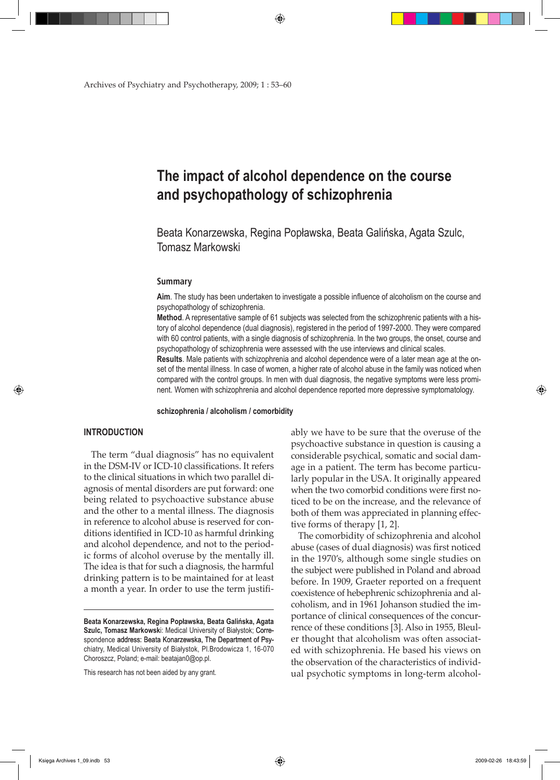Archives of Psychiatry and Psychotherapy, 2009; 1 : 53–60

# **The impact of alcohol dependence on the course and psychopathology of schizophrenia**

Beata Konarzewska, Regina Popławska, Beata Galińska, Agata Szulc, Tomasz Markowski

#### **Summary**

**Aim**. The study has been undertaken to investigate a possible influence of alcoholism on the course and psychopathology of schizophrenia.

**Method**. A representative sample of 61 subjects was selected from the schizophrenic patients with a history of alcohol dependence (dual diagnosis), registered in the period of 1997-2000. They were compared with 60 control patients, with a single diagnosis of schizophrenia. In the two groups, the onset, course and psychopathology of schizophrenia were assessed with the use interviews and clinical scales.

**Results**. Male patients with schizophrenia and alcohol dependence were of a later mean age at the onset of the mental illness. In case of women, a higher rate of alcohol abuse in the family was noticed when compared with the control groups. In men with dual diagnosis, the negative symptoms were less prominent. Women with schizophrenia and alcohol dependence reported more depressive symptomatology.

**schizophrenia / alcoholism / comorbidity**

## **INTRODUCTION**

⊕

The term "dual diagnosis" has no equivalent in the DSM-IV or ICD-10 classifications. It refers to the clinical situations in which two parallel diagnosis of mental disorders are put forward: one being related to psychoactive substance abuse and the other to a mental illness. The diagnosis in reference to alcohol abuse is reserved for conditions identified in ICD-10 as harmful drinking and alcohol dependence, and not to the periodic forms of alcohol overuse by the mentally ill. The idea is that for such a diagnosis, the harmful drinking pattern is to be maintained for at least a month a year. In order to use the term justifi-

This research has not been aided by any grant.

ably we have to be sure that the overuse of the psychoactive substance in question is causing a considerable psychical, somatic and social damage in a patient. The term has become particularly popular in the USA. It originally appeared when the two comorbid conditions were first noticed to be on the increase, and the relevance of both of them was appreciated in planning effective forms of therapy [1, 2].

The comorbidity of schizophrenia and alcohol abuse (cases of dual diagnosis) was first noticed in the 1970's, although some single studies on the subject were published in Poland and abroad before. In 1909, Graeter reported on a frequent coexistence of hebephrenic schizophrenia and alcoholism, and in 1961 Johanson studied the importance of clinical consequences of the concurrence of these conditions [3]. Also in 1955, Bleuler thought that alcoholism was often associated with schizophrenia. He based his views on the observation of the characteristics of individual psychotic symptoms in long-term alcohol-

Księga Archives 1\_09.indb 53 2009-02-26 18:43:59

**Beata Konarzewska, Regina Popławska, Beata Galińska, Agata Szulc, Tomasz Markowsk**i: Medical University of Białystok; Correspondence address: Beata Konarzewska, The Department of Psychiatry, Medical University of Białystok, Pl.Brodowicza 1, 16-070 Choroszcz, Poland; e-mail: beatajan0@op.pl.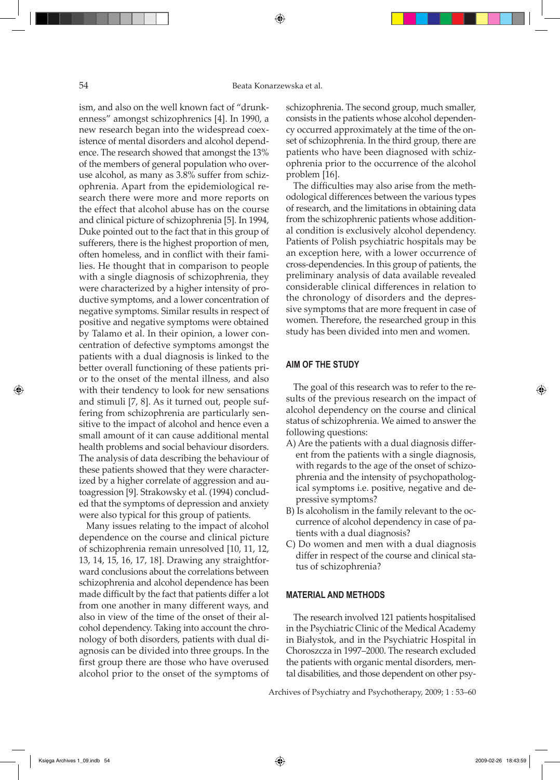ism, and also on the well known fact of "drunkenness" amongst schizophrenics [4]. In 1990, a new research began into the widespread coexistence of mental disorders and alcohol dependence. The research showed that amongst the 13% of the members of general population who overuse alcohol, as many as 3.8% suffer from schizophrenia. Apart from the epidemiological research there were more and more reports on the effect that alcohol abuse has on the course and clinical picture of schizophrenia [5]. In 1994, Duke pointed out to the fact that in this group of sufferers, there is the highest proportion of men, often homeless, and in conflict with their families. He thought that in comparison to people with a single diagnosis of schizophrenia, they were characterized by a higher intensity of productive symptoms, and a lower concentration of negative symptoms. Similar results in respect of positive and negative symptoms were obtained by Talamo et al. In their opinion, a lower concentration of defective symptoms amongst the patients with a dual diagnosis is linked to the better overall functioning of these patients prior to the onset of the mental illness, and also with their tendency to look for new sensations and stimuli [7, 8]. As it turned out, people suffering from schizophrenia are particularly sensitive to the impact of alcohol and hence even a small amount of it can cause additional mental health problems and social behaviour disorders. The analysis of data describing the behaviour of these patients showed that they were characterized by a higher correlate of aggression and autoagression [9]. Strakowsky et al. (1994) concluded that the symptoms of depression and anxiety were also typical for this group of patients.

Many issues relating to the impact of alcohol dependence on the course and clinical picture of schizophrenia remain unresolved [10, 11, 12, 13, 14, 15, 16, 17, 18]. Drawing any straightforward conclusions about the correlations between schizophrenia and alcohol dependence has been made difficult by the fact that patients differ a lot from one another in many different ways, and also in view of the time of the onset of their alcohol dependency. Taking into account the chronology of both disorders, patients with dual diagnosis can be divided into three groups. In the first group there are those who have overused alcohol prior to the onset of the symptoms of schizophrenia. The second group, much smaller, consists in the patients whose alcohol dependency occurred approximately at the time of the onset of schizophrenia. In the third group, there are patients who have been diagnosed with schizophrenia prior to the occurrence of the alcohol problem [16].

The difficulties may also arise from the methodological differences between the various types of research, and the limitations in obtaining data from the schizophrenic patients whose additional condition is exclusively alcohol dependency. Patients of Polish psychiatric hospitals may be an exception here, with a lower occurrence of cross-dependencies. In this group of patients, the preliminary analysis of data available revealed considerable clinical differences in relation to the chronology of disorders and the depressive symptoms that are more frequent in case of women. Therefore, the researched group in this study has been divided into men and women.

#### **AIM OF THE STUDY**

The goal of this research was to refer to the results of the previous research on the impact of alcohol dependency on the course and clinical status of schizophrenia. We aimed to answer the following questions:

- A) Are the patients with a dual diagnosis different from the patients with a single diagnosis, with regards to the age of the onset of schizophrenia and the intensity of psychopathological symptoms i.e. positive, negative and depressive symptoms?
- B) Is alcoholism in the family relevant to the occurrence of alcohol dependency in case of patients with a dual diagnosis?
- C) Do women and men with a dual diagnosis differ in respect of the course and clinical status of schizophrenia?

#### **MATERIAL AND METHODS**

The research involved 121 patients hospitalised in the Psychiatric Clinic of the Medical Academy in Białystok, and in the Psychiatric Hospital in Choroszcza in 1997–2000. The research excluded the patients with organic mental disorders, mental disabilities, and those dependent on other psy-

Archives of Psychiatry and Psychotherapy, 2009; 1 : 53–60

⊕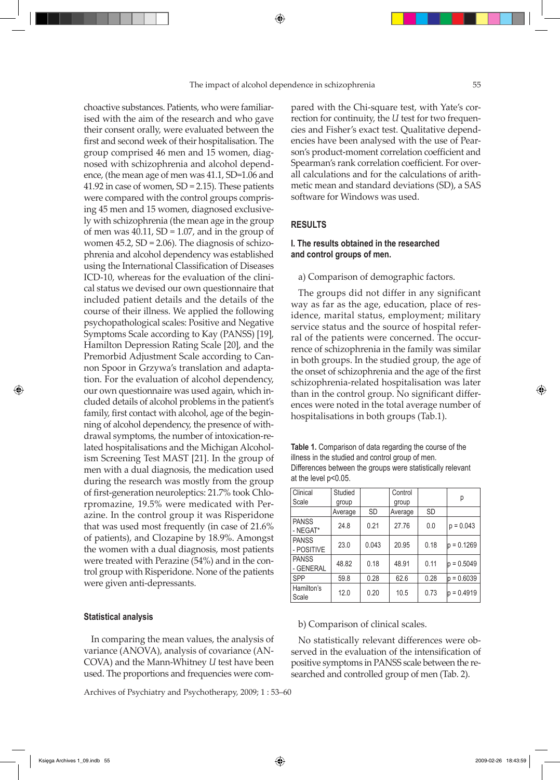choactive substances. Patients, who were familiarised with the aim of the research and who gave their consent orally, were evaluated between the first and second week of their hospitalisation. The group comprised 46 men and 15 women, diagnosed with schizophrenia and alcohol dependence, (the mean age of men was 41.1, SD=1.06 and 41.92 in case of women, SD = 2.15). These patients were compared with the control groups comprising 45 men and 15 women, diagnosed exclusively with schizophrenia (the mean age in the group of men was  $40.11$ , SD = 1.07, and in the group of women  $45.2$ ,  $SD = 2.06$ ). The diagnosis of schizophrenia and alcohol dependency was established using the International Classification of Diseases ICD-10, whereas for the evaluation of the clinical status we devised our own questionnaire that included patient details and the details of the course of their illness. We applied the following psychopathological scales: Positive and Negative Symptoms Scale according to Kay (PANSS) [19], Hamilton Depression Rating Scale [20], and the Premorbid Adjustment Scale according to Cannon Spoor in Grzywa's translation and adaptation. For the evaluation of alcohol dependency, our own questionnaire was used again, which included details of alcohol problems in the patient's family, first contact with alcohol, age of the beginning of alcohol dependency, the presence of withdrawal symptoms, the number of intoxication-related hospitalisations and the Michigan Alcoholism Screening Test MAST [21]. In the group of men with a dual diagnosis, the medication used during the research was mostly from the group of first-generation neuroleptics: 21.7% took Chlorpromazine, 19.5% were medicated with Perazine. In the control group it was Risperidone that was used most frequently (in case of 21.6% of patients), and Clozapine by 18.9%. Amongst the women with a dual diagnosis, most patients were treated with Perazine (54%) and in the control group with Risperidone. None of the patients were given anti-depressants.

#### **Statistical analysis**

In comparing the mean values, the analysis of variance (ANOVA), analysis of covariance (AN-COVA) and the Mann-Whitney *U* test have been used. The proportions and frequencies were com-

Archives of Psychiatry and Psychotherapy, 2009; 1 : 53–60

pared with the Chi-square test, with Yate's correction for continuity, the *U* test for two frequencies and Fisher's exact test. Qualitative dependencies have been analysed with the use of Pearson's product-moment correlation coefficient and Spearman's rank correlation coefficient. For overall calculations and for the calculations of arithmetic mean and standard deviations (SD), a SAS software for Windows was used.

## **RESULTS**

## **I. The results obtained in the researched and control groups of men.**

#### a) Comparison of demographic factors.

The groups did not differ in any significant way as far as the age, education, place of residence, marital status, employment; military service status and the source of hospital referral of the patients were concerned. The occurrence of schizophrenia in the family was similar in both groups. In the studied group, the age of the onset of schizophrenia and the age of the first schizophrenia-related hospitalisation was later than in the control group. No significant differences were noted in the total average number of hospitalisations in both groups (Tab.1).

**Table 1.** Comparison of data regarding the course of the illness in the studied and control group of men. Differences between the groups were statistically relevant at the level p<0.05.

| Clinical<br>Scale          | Studied |           | Control |           | р             |
|----------------------------|---------|-----------|---------|-----------|---------------|
|                            | group   |           | group   |           |               |
|                            | Average | <b>SD</b> | Average | <b>SD</b> |               |
| <b>PANSS</b><br>- NEGAT*   | 24.8    | 0.21      | 27.76   | 0.0       | $p = 0.043$   |
| <b>PANSS</b><br>- POSITIVE | 23.0    | 0.043     | 20.95   | 0.18      | $p = 0.1269$  |
| <b>PANSS</b><br>- GENERAL  | 48.82   | 0.18      | 48.91   | 0.11      | $ p = 0.5049$ |
| <b>SPP</b>                 | 59.8    | 0.28      | 62.6    | 0.28      | $p = 0.6039$  |
| Hamilton's<br>Scale        | 12.0    | 0.20      | 10.5    | 0.73      | $ p = 0.4919$ |

#### b) Comparison of clinical scales.

No statistically relevant differences were observed in the evaluation of the intensification of positive symptoms in PANSS scale between the researched and controlled group of men (Tab. 2).

⊕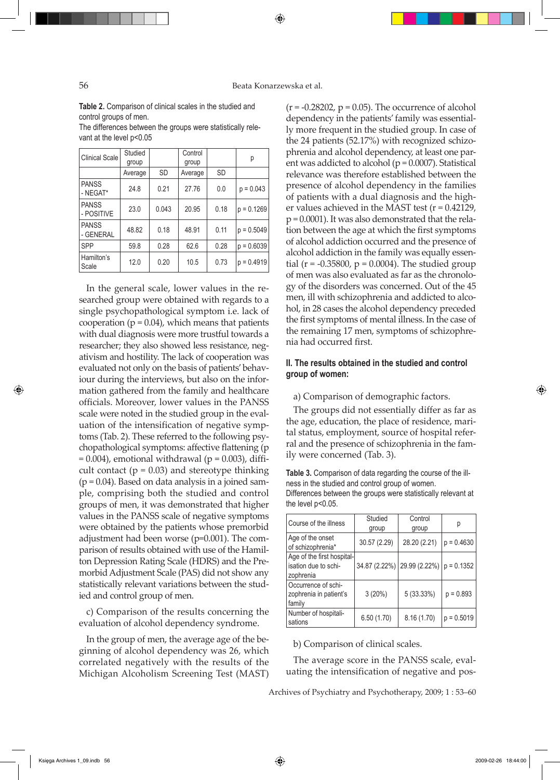#### 56 Beata Konarzewska et al.

**Table 2.** Comparison of clinical scales in the studied and control groups of men.

The differences between the groups were statistically relevant at the level p<0.05

| <b>Clinical Scale</b>      | Studied |           | Control |           | р            |
|----------------------------|---------|-----------|---------|-----------|--------------|
|                            | group   |           | group   |           |              |
|                            | Average | <b>SD</b> | Average | <b>SD</b> |              |
| <b>PANSS</b><br>- NEGAT*   | 24.8    | 0.21      | 27.76   | 0.0       | $p = 0.043$  |
| <b>PANSS</b><br>- POSITIVE | 23.0    | 0.043     | 20.95   | 0.18      | $p = 0.1269$ |
| <b>PANSS</b><br>- GENERAL  | 48.82   | 0.18      | 48.91   | 0.11      | $p = 0.5049$ |
| <b>SPP</b>                 | 59.8    | 0.28      | 62.6    | 0.28      | $p = 0.6039$ |
| Hamilton's<br>Scale        | 12.0    | 0.20      | 10.5    | 0.73      | $p = 0.4919$ |

In the general scale, lower values in the researched group were obtained with regards to a single psychopathological symptom i.e. lack of cooperation ( $p = 0.04$ ), which means that patients with dual diagnosis were more trustful towards a researcher; they also showed less resistance, negativism and hostility. The lack of cooperation was evaluated not only on the basis of patients' behaviour during the interviews, but also on the information gathered from the family and healthcare officials. Moreover, lower values in the PANSS scale were noted in the studied group in the evaluation of the intensification of negative symptoms (Tab. 2). These referred to the following psychopathological symptoms: affective flattening (p  $= 0.004$ ), emotional withdrawal (p  $= 0.003$ ), difficult contact ( $p = 0.03$ ) and stereotype thinking  $(p = 0.04)$ . Based on data analysis in a joined sample, comprising both the studied and control groups of men, it was demonstrated that higher values in the PANSS scale of negative symptoms were obtained by the patients whose premorbid adjustment had been worse (p=0.001). The comparison of results obtained with use of the Hamilton Depression Rating Scale (HDRS) and the Premorbid Adjustment Scale (PAS) did not show any statistically relevant variations between the studied and control group of men.

c) Comparison of the results concerning the evaluation of alcohol dependency syndrome.

In the group of men, the average age of the beginning of alcohol dependency was 26, which correlated negatively with the results of the Michigan Alcoholism Screening Test (MAST)

 $(r = -0.28202, p = 0.05)$ . The occurrence of alcohol dependency in the patients' family was essentially more frequent in the studied group. In case of the 24 patients (52.17%) with recognized schizophrenia and alcohol dependency, at least one parent was addicted to alcohol ( $p = 0.0007$ ). Statistical relevance was therefore established between the presence of alcohol dependency in the families of patients with a dual diagnosis and the higher values achieved in the MAST test (r = 0.42129, p = 0.0001). It was also demonstrated that the relation between the age at which the first symptoms of alcohol addiction occurred and the presence of alcohol addiction in the family was equally essential ( $r = -0.35800$ ,  $p = 0.0004$ ). The studied group of men was also evaluated as far as the chronology of the disorders was concerned. Out of the 45 men, ill with schizophrenia and addicted to alcohol, in 28 cases the alcohol dependency preceded the first symptoms of mental illness. In the case of the remaining 17 men, symptoms of schizophrenia had occurred first.

## **II. The results obtained in the studied and control group of women:**

a) Comparison of demographic factors.

The groups did not essentially differ as far as the age, education, the place of residence, marital status, employment, source of hospital referral and the presence of schizophrenia in the family were concerned (Tab. 3).

**Table 3.** Comparison of data regarding the course of the illness in the studied and control group of women. Differences between the groups were statistically relevant at the level p<0.05.

| Course of the illness                                           | Studied<br>group | Control<br>group            | р            |
|-----------------------------------------------------------------|------------------|-----------------------------|--------------|
| Age of the onset<br>of schizophrenia*                           | 30.57 (2.29)     | 28.20 (2.21)                | $p = 0.4630$ |
| Age of the first hospital-<br>isation due to schi-<br>zophrenia |                  | 34.87 (2.22%) 29.99 (2.22%) | $p = 0.1352$ |
| Occurrence of schi-<br>zophrenia in patient's<br>family         | $3(20\%)$        | 5(33.33%)                   | $p = 0.893$  |
| Number of hospitali-<br>sations                                 | 6.50(1.70)       | 8.16(1.70)                  | $p = 0.5019$ |

b) Comparison of clinical scales.

The average score in the PANSS scale, evaluating the intensification of negative and pos-

Archives of Psychiatry and Psychotherapy, 2009; 1 : 53–60

⊕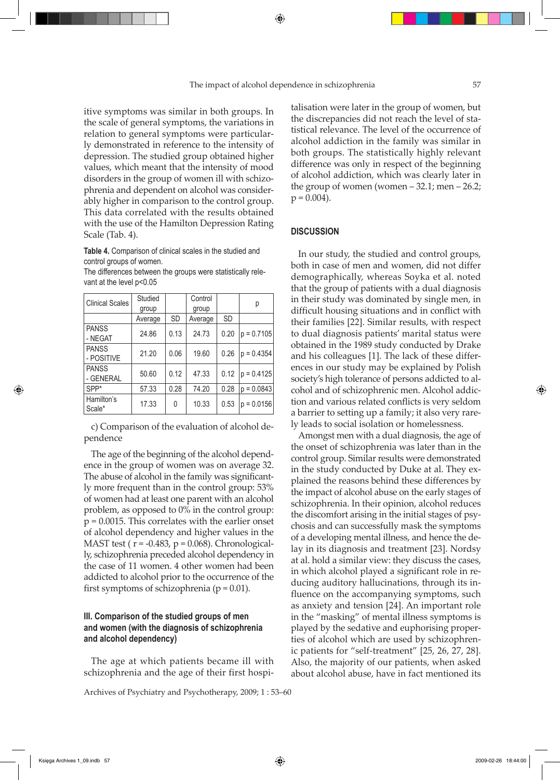itive symptoms was similar in both groups. In the scale of general symptoms, the variations in relation to general symptoms were particularly demonstrated in reference to the intensity of depression. The studied group obtained higher values, which meant that the intensity of mood disorders in the group of women ill with schizophrenia and dependent on alcohol was considerably higher in comparison to the control group. This data correlated with the results obtained with the use of the Hamilton Depression Rating Scale (Tab. 4).

### **Table 4.** Comparison of clinical scales in the studied and control groups of women.

The differences between the groups were statistically relevant at the level p<0.05

| <b>Clinical Scales</b>     | Studied<br>group |           | Control<br>group |           | р             |
|----------------------------|------------------|-----------|------------------|-----------|---------------|
|                            | Average          | <b>SD</b> | Average          | <b>SD</b> |               |
| <b>PANSS</b><br>- NEGAT    | 24.86            | 0.13      | 24.73            | 0.20      | $p = 0.7105$  |
| <b>PANSS</b><br>- POSITIVE | 21.20            | 0.06      | 19.60            | 0.26      | $p = 0.4354$  |
| <b>PANSS</b><br>- GENERAL  | 50.60            | 0.12      | 47.33            | 0.12      | $ p = 0.4125$ |
| $SPP*$                     | 57.33            | 0.28      | 74.20            | 0.28      | $p = 0.0843$  |
| Hamilton's<br>Scale*       | 17.33            | 0         | 10.33            | 0.53      | $p = 0.0156$  |

c) Comparison of the evaluation of alcohol dependence

The age of the beginning of the alcohol dependence in the group of women was on average 32. The abuse of alcohol in the family was significantly more frequent than in the control group: 53% of women had at least one parent with an alcohol problem, as opposed to 0% in the control group: p = 0.0015. This correlates with the earlier onset of alcohol dependency and higher values in the MAST test ( $r = -0.483$ ,  $p = 0.068$ ). Chronologically, schizophrenia preceded alcohol dependency in the case of 11 women. 4 other women had been addicted to alcohol prior to the occurrence of the first symptoms of schizophrenia ( $p = 0.01$ ).

## **III. Comparison of the studied groups of men and women (with the diagnosis of schizophrenia and alcohol dependency)**

The age at which patients became ill with schizophrenia and the age of their first hospi-

Archives of Psychiatry and Psychotherapy, 2009; 1 : 53–60

talisation were later in the group of women, but the discrepancies did not reach the level of statistical relevance. The level of the occurrence of alcohol addiction in the family was similar in both groups. The statistically highly relevant difference was only in respect of the beginning of alcohol addiction, which was clearly later in the group of women (women  $-32.1$ ; men  $-26.2$ ;  $p = 0.004$ .

### **DISCUSSION**

In our study, the studied and control groups, both in case of men and women, did not differ demographically, whereas Soyka et al. noted that the group of patients with a dual diagnosis in their study was dominated by single men, in difficult housing situations and in conflict with their families [22]. Similar results, with respect to dual diagnosis patients' marital status were obtained in the 1989 study conducted by Drake and his colleagues [1]. The lack of these differences in our study may be explained by Polish society's high tolerance of persons addicted to alcohol and of schizophrenic men. Alcohol addiction and various related conflicts is very seldom a barrier to setting up a family; it also very rarely leads to social isolation or homelessness.

Amongst men with a dual diagnosis, the age of the onset of schizophrenia was later than in the control group. Similar results were demonstrated in the study conducted by Duke at al. They explained the reasons behind these differences by the impact of alcohol abuse on the early stages of schizophrenia. In their opinion, alcohol reduces the discomfort arising in the initial stages of psychosis and can successfully mask the symptoms of a developing mental illness, and hence the delay in its diagnosis and treatment [23]. Nordsy at al. hold a similar view: they discuss the cases, in which alcohol played a significant role in reducing auditory hallucinations, through its influence on the accompanying symptoms, such as anxiety and tension [24]. An important role in the "masking" of mental illness symptoms is played by the sedative and euphorising properties of alcohol which are used by schizophrenic patients for "self-treatment" [25, 26, 27, 28]. Also, the majority of our patients, when asked about alcohol abuse, have in fact mentioned its

⊕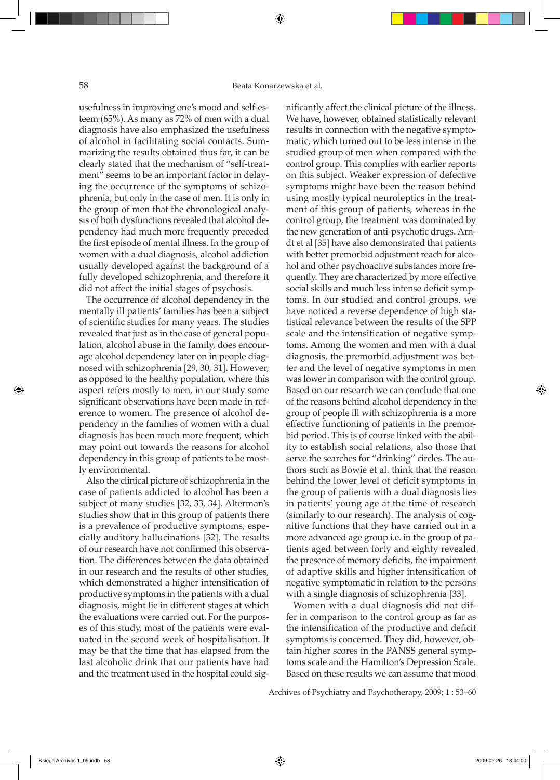usefulness in improving one's mood and self-esteem (65%). As many as 72% of men with a dual diagnosis have also emphasized the usefulness of alcohol in facilitating social contacts. Summarizing the results obtained thus far, it can be clearly stated that the mechanism of "self-treatment" seems to be an important factor in delaying the occurrence of the symptoms of schizophrenia, but only in the case of men. It is only in the group of men that the chronological analysis of both dysfunctions revealed that alcohol dependency had much more frequently preceded the first episode of mental illness. In the group of women with a dual diagnosis, alcohol addiction usually developed against the background of a fully developed schizophrenia, and therefore it did not affect the initial stages of psychosis.

The occurrence of alcohol dependency in the mentally ill patients' families has been a subject of scientific studies for many years. The studies revealed that just as in the case of general population, alcohol abuse in the family, does encourage alcohol dependency later on in people diagnosed with schizophrenia [29, 30, 31]. However, as opposed to the healthy population, where this aspect refers mostly to men, in our study some significant observations have been made in reference to women. The presence of alcohol dependency in the families of women with a dual diagnosis has been much more frequent, which may point out towards the reasons for alcohol dependency in this group of patients to be mostly environmental.

Also the clinical picture of schizophrenia in the case of patients addicted to alcohol has been a subject of many studies [32, 33, 34]. Alterman's studies show that in this group of patients there is a prevalence of productive symptoms, especially auditory hallucinations [32]. The results of our research have not confirmed this observation. The differences between the data obtained in our research and the results of other studies, which demonstrated a higher intensification of productive symptoms in the patients with a dual diagnosis, might lie in different stages at which the evaluations were carried out. For the purposes of this study, most of the patients were evaluated in the second week of hospitalisation. It may be that the time that has elapsed from the last alcoholic drink that our patients have had and the treatment used in the hospital could significantly affect the clinical picture of the illness. We have, however, obtained statistically relevant results in connection with the negative symptomatic, which turned out to be less intense in the studied group of men when compared with the control group. This complies with earlier reports on this subject. Weaker expression of defective symptoms might have been the reason behind using mostly typical neuroleptics in the treatment of this group of patients, whereas in the control group, the treatment was dominated by the new generation of anti-psychotic drugs. Arndt et al [35] have also demonstrated that patients with better premorbid adjustment reach for alcohol and other psychoactive substances more frequently. They are characterized by more effective social skills and much less intense deficit symptoms. In our studied and control groups, we have noticed a reverse dependence of high statistical relevance between the results of the SPP scale and the intensification of negative symptoms. Among the women and men with a dual diagnosis, the premorbid adjustment was better and the level of negative symptoms in men was lower in comparison with the control group. Based on our research we can conclude that one of the reasons behind alcohol dependency in the group of people ill with schizophrenia is a more effective functioning of patients in the premorbid period. This is of course linked with the ability to establish social relations, also those that serve the searches for "drinking" circles. The authors such as Bowie et al. think that the reason behind the lower level of deficit symptoms in the group of patients with a dual diagnosis lies in patients' young age at the time of research (similarly to our research). The analysis of cognitive functions that they have carried out in a more advanced age group i.e. in the group of patients aged between forty and eighty revealed the presence of memory deficits, the impairment of adaptive skills and higher intensification of negative symptomatic in relation to the persons with a single diagnosis of schizophrenia [33].

Women with a dual diagnosis did not differ in comparison to the control group as far as the intensification of the productive and deficit symptoms is concerned. They did, however, obtain higher scores in the PANSS general symptoms scale and the Hamilton's Depression Scale. Based on these results we can assume that mood

Archives of Psychiatry and Psychotherapy, 2009; 1 : 53–60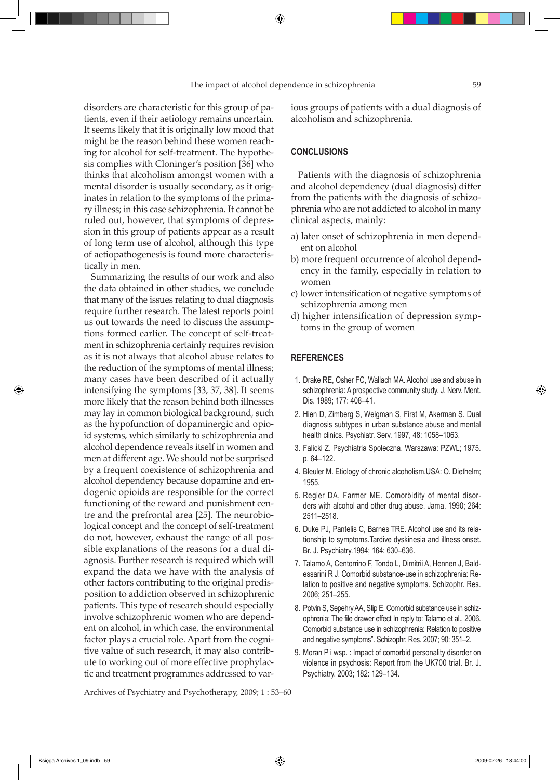disorders are characteristic for this group of patients, even if their aetiology remains uncertain. It seems likely that it is originally low mood that might be the reason behind these women reaching for alcohol for self-treatment. The hypothesis complies with Cloninger's position [36] who thinks that alcoholism amongst women with a mental disorder is usually secondary, as it originates in relation to the symptoms of the primary illness; in this case schizophrenia. It cannot be ruled out, however, that symptoms of depression in this group of patients appear as a result of long term use of alcohol, although this type of aetiopathogenesis is found more characteristically in men.

Summarizing the results of our work and also the data obtained in other studies, we conclude that many of the issues relating to dual diagnosis require further research. The latest reports point us out towards the need to discuss the assumptions formed earlier. The concept of self-treatment in schizophrenia certainly requires revision as it is not always that alcohol abuse relates to the reduction of the symptoms of mental illness; many cases have been described of it actually intensifying the symptoms [33, 37, 38]. It seems more likely that the reason behind both illnesses may lay in common biological background, such as the hypofunction of dopaminergic and opioid systems, which similarly to schizophrenia and alcohol dependence reveals itself in women and men at different age. We should not be surprised by a frequent coexistence of schizophrenia and alcohol dependency because dopamine and endogenic opioids are responsible for the correct functioning of the reward and punishment centre and the prefrontal area [25]. The neurobiological concept and the concept of self-treatment do not, however, exhaust the range of all possible explanations of the reasons for a dual diagnosis. Further research is required which will expand the data we have with the analysis of other factors contributing to the original predisposition to addiction observed in schizophrenic patients. This type of research should especially involve schizophrenic women who are dependent on alcohol, in which case, the environmental factor plays a crucial role. Apart from the cognitive value of such research, it may also contribute to working out of more effective prophylactic and treatment programmes addressed to various groups of patients with a dual diagnosis of alcoholism and schizophrenia.

### **CONCLUSIONS**

Patients with the diagnosis of schizophrenia and alcohol dependency (dual diagnosis) differ from the patients with the diagnosis of schizophrenia who are not addicted to alcohol in many clinical aspects, mainly:

- a) later onset of schizophrenia in men dependent on alcohol
- b) more frequent occurrence of alcohol dependency in the family, especially in relation to women
- c) lower intensification of negative symptoms of schizophrenia among men
- d) higher intensification of depression symptoms in the group of women

#### **REFERENCES**

- 1. Drake RE, Osher FC, Wallach MA. Alcohol use and abuse in schizophrenia: A prospective community study. J. Nerv. Ment. Dis. 1989; 177: 408–41.
- 2. Hien D, Zimberg S, Weigman S, First M, Akerman S. Dual diagnosis subtypes in urban substance abuse and mental health clinics. Psychiatr. Serv. 1997, 48: 1058–1063.
- 3. Falicki Z. Psychiatria Społeczna. Warszawa: PZWL; 1975. p. 64–122.
- 4. Bleuler M. Etiology of chronic alcoholism.USA: O. Diethelm; 1955.
- 5. Regier DA, Farmer ME. Comorbidity of mental disorders with alcohol and other drug abuse. Jama. 1990; 264: 2511–2518.
- 6. Duke PJ, Pantelis C, Barnes TRE. Alcohol use and its relationship to symptoms.Tardive dyskinesia and illness onset. Br. J. Psychiatry.1994; 164: 630–636.
- 7. Talamo A, Centorrino F, Tondo L, Dimitrii A, Hennen J, Baldessarini R J. Comorbid substance-use in schizophrenia: Relation to positive and negative symptoms. Schizophr. Res. 2006; 251–255.
- 8. Potvin S, Sepehry AA, Stip E. Comorbid substance use in schizophrenia: The file drawer effect In reply to: Talamo et al., 2006. Comorbid substance use in schizophrenia: Relation to positive and negative symptoms". Schizophr. Res. 2007; 90: 351–2.
- 9. Moran P i wsp. : Impact of comorbid personality disorder on violence in psychosis: Report from the UK700 trial. Br. J. Psychiatry. 2003; 182: 129–134.

Archives of Psychiatry and Psychotherapy, 2009; 1 : 53–60